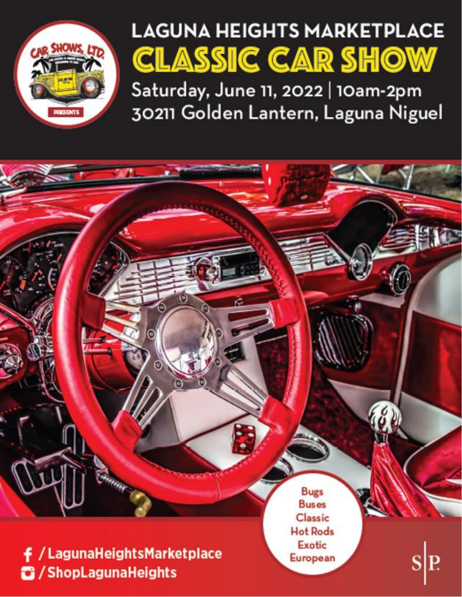

# **LAGUNA HEIGHTS MARKETPLACE CLASSIC CAR SHOW**

Saturday, June 11, 2022 | 10am-2pm 30211 Golden Lantern, Laguna Niguel

**Bugs Buses** Classic **Hot Rods Exotic f** / Laguna Heights Market place European S/ShopLagunaHeights